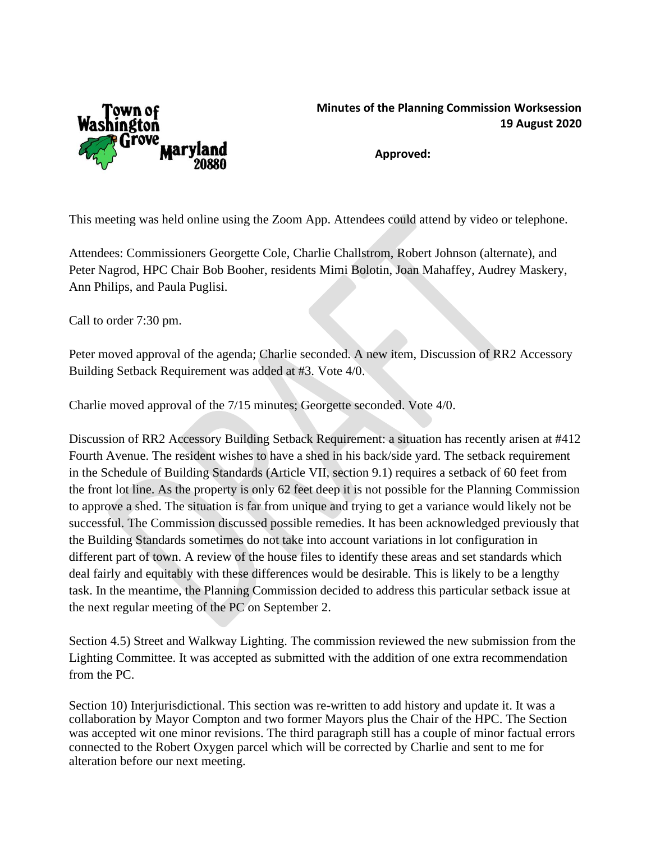

## **Minutes of the Planning Commission Worksession 19 August 2020**

**Approved:**

This meeting was held online using the Zoom App. Attendees could attend by video or telephone.

Attendees: Commissioners Georgette Cole, Charlie Challstrom, Robert Johnson (alternate), and Peter Nagrod, HPC Chair Bob Booher, residents Mimi Bolotin, Joan Mahaffey, Audrey Maskery, Ann Philips, and Paula Puglisi.

Call to order 7:30 pm.

Peter moved approval of the agenda; Charlie seconded. A new item, Discussion of RR2 Accessory Building Setback Requirement was added at #3. Vote 4/0.

Charlie moved approval of the 7/15 minutes; Georgette seconded. Vote 4/0.

Discussion of RR2 Accessory Building Setback Requirement: a situation has recently arisen at #412 Fourth Avenue. The resident wishes to have a shed in his back/side yard. The setback requirement in the Schedule of Building Standards (Article VII, section 9.1) requires a setback of 60 feet from the front lot line. As the property is only 62 feet deep it is not possible for the Planning Commission to approve a shed. The situation is far from unique and trying to get a variance would likely not be successful. The Commission discussed possible remedies. It has been acknowledged previously that the Building Standards sometimes do not take into account variations in lot configuration in different part of town. A review of the house files to identify these areas and set standards which deal fairly and equitably with these differences would be desirable. This is likely to be a lengthy task. In the meantime, the Planning Commission decided to address this particular setback issue at the next regular meeting of the PC on September 2.

Section 4.5) Street and Walkway Lighting. The commission reviewed the new submission from the Lighting Committee. It was accepted as submitted with the addition of one extra recommendation from the PC.

Section 10) Interjurisdictional. This section was re-written to add history and update it. It was a collaboration by Mayor Compton and two former Mayors plus the Chair of the HPC. The Section was accepted wit one minor revisions. The third paragraph still has a couple of minor factual errors connected to the Robert Oxygen parcel which will be corrected by Charlie and sent to me for alteration before our next meeting.